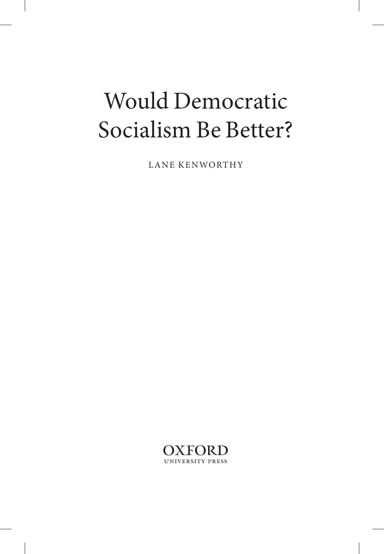# Would Democratic Socialism Be Better?

LANE KENWORTHY

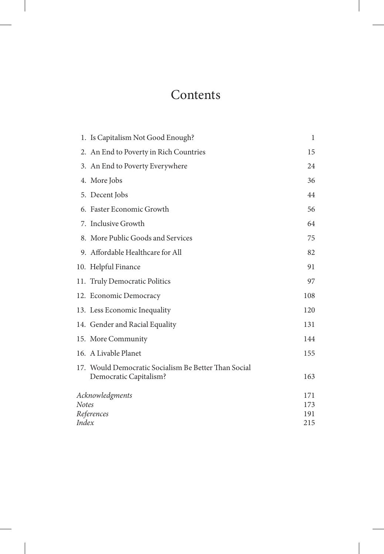## **Contents**

|                     | 1. Is Capitalism Not Good Enough?                                              | 1          |
|---------------------|--------------------------------------------------------------------------------|------------|
|                     | 2. An End to Poverty in Rich Countries                                         | 15         |
|                     | 3. An End to Poverty Everywhere                                                | 24         |
|                     | 4. More Jobs                                                                   |            |
|                     | 5. Decent Jobs                                                                 | 44         |
|                     | 6. Faster Economic Growth                                                      | 56         |
|                     | 7. Inclusive Growth                                                            | 64         |
|                     | 8. More Public Goods and Services                                              | 75         |
|                     | 9. Affordable Healthcare for All                                               | 82         |
|                     | 10. Helpful Finance                                                            | 91         |
|                     | 11. Truly Democratic Politics                                                  | 97         |
|                     | 12. Economic Democracy                                                         | 108        |
|                     | 13. Less Economic Inequality                                                   | 120        |
|                     | 14. Gender and Racial Equality                                                 | 131        |
|                     | 15. More Community                                                             | 144        |
|                     | 16. A Livable Planet                                                           | 155        |
|                     | 17. Would Democratic Socialism Be Better Than Social<br>Democratic Capitalism? | 163        |
| Acknowledgments     |                                                                                | 171<br>173 |
| Notes<br>References |                                                                                | 191        |
| Index               |                                                                                | 215        |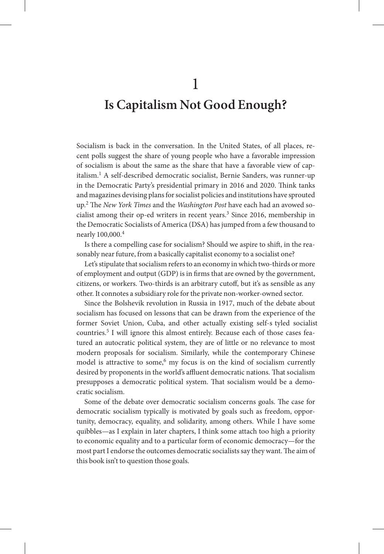1

### **Is Capitalism Not Good Enough?**

Socialism is back in the conversation. In the United States, of all places, recent polls suggest the share of young people who have a favorable impression of socialism is about the same as the share that have a favorable view of capitalism.<sup>1</sup> A self-described democratic socialist, Bernie Sanders, was runner-up in the Democratic Party's presidential primary in 2016 and 2020. Think tanks and magazines devising plans for socialist policies and institutions have sprouted up.<sup>2</sup> The *New York Times* and the *Washington Post* have each had an avowed socialist among their op-ed writers in recent years.<sup>3</sup> Since 2016, membership in the Democratic Socialists of America (DSA) has jumped from a few thousand to nearly 100,000.<sup>4</sup>

Is there a compelling case for socialism? Should we aspire to shift, in the reasonably near future, from a basically capitalist economy to a socialist one?

Let's stipulate that socialism refers to an economy in which two- thirds or more of employment and output (GDP) is in firms that are owned by the government, citizens, or workers. Two- thirds is an arbitrary cutoff, but it's as sensible as any other. It connotes a subsidiary role for the private non- worker- owned sector.

Since the Bolshevik revolution in Russia in 1917, much of the debate about socialism has focused on lessons that can be drawn from the experience of the former Soviet Union, Cuba, and other actually existing self-s tyled socialist countries.<sup>5</sup> I will ignore this almost entirely. Because each of those cases featured an autocratic political system, they are of little or no relevance to most modern proposals for socialism. Similarly, while the contemporary Chinese model is attractive to some,<sup>6</sup> my focus is on the kind of socialism currently desired by proponents in the world's affluent democratic nations. That socialism presupposes a democratic political system. That socialism would be a democratic socialism.

Some of the debate over democratic socialism concerns goals. The case for democratic socialism typically is motivated by goals such as freedom, opportunity, democracy, equality, and solidarity, among others. While I have some quibbles— as I explain in later chapters, I think some attach too high a priority to economic equality and to a particular form of economic democracy— for the most part I endorse the outcomes democratic socialists say they want. The aim of this book isn't to question those goals.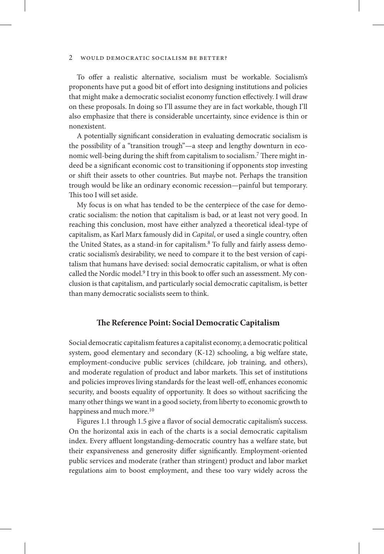To offer a realistic alternative, socialism must be workable. Socialism's proponents have put a good bit of effort into designing institutions and policies that might make a democratic socialist economy function effectively. I will draw on these proposals. In doing so I'll assume they are in fact workable, though I'll also emphasize that there is considerable uncertainty, since evidence is thin or nonexistent.

A potentially significant consideration in evaluating democratic socialism is the possibility of a "transition trough"—a steep and lengthy downturn in economic well-being during the shift from capitalism to socialism.7 There might indeed be a significant economic cost to transitioning if opponents stop investing or shift their assets to other countries. But maybe not. Perhaps the transition trough would be like an ordinary economic recession—painful but temporary. This too I will set aside.

My focus is on what has tended to be the centerpiece of the case for democratic socialism: the notion that capitalism is bad, or at least not very good. In reaching this conclusion, most have either analyzed a theoretical ideal-type of capitalism, as Karl Marx famously did in *Capital*, or used a single country, often the United States, as a stand-in for capitalism.<sup>8</sup> To fully and fairly assess democratic socialism's desirability, we need to compare it to the best version of capitalism that humans have devised: social democratic capitalism, or what is often called the Nordic model. $9$  I try in this book to offer such an assessment. My conclusion is that capitalism, and particularly social democratic capitalism, is better than many democratic socialists seem to think.

#### **The Reference Point: Social Democratic Capitalism**

Social democratic capitalism features a capitalist economy, a democratic political system, good elementary and secondary (K-12) schooling, a big welfare state, employment-conducive public services (childcare, job training, and others), and moderate regulation of product and labor markets. This set of institutions and policies improves living standards for the least well-off, enhances economic security, and boosts equality of opportunity. It does so without sacrificing the many other things we want in a good society, from liberty to economic growth to happiness and much more.<sup>10</sup>

Figures 1.1 through 1.5 give a flavor of social democratic capitalism's success. On the horizontal axis in each of the charts is a social democratic capitalism index. Every affluent longstanding-democratic country has a welfare state, but their expansiveness and generosity differ significantly. Employment-oriented public services and moderate (rather than stringent) product and labor market regulations aim to boost employment, and these too vary widely across the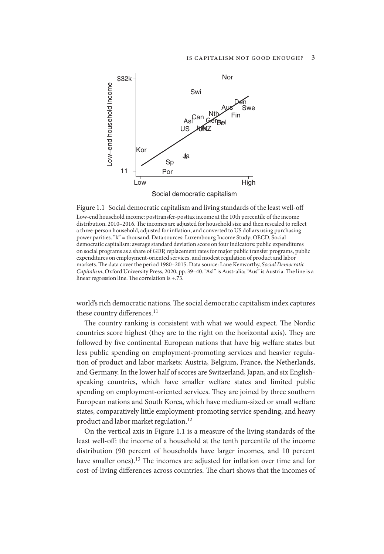

Figure 1.1 Social democratic capitalism and living standards of the least well-off

Low-end household income: posttransfer-posttax income at the 10th percentile of the income distribution. 2010–2016. The incomes are adjusted for household size and then rescaled to reflect a three-person household, adjusted for inflation, and converted to US dollars using purchasing power parities. "k" = thousand. Data sources: Luxembourg Income Study; OECD. Social democratic capitalism: average standard deviation score on four indicators: public expenditures on social programs as a share of GDP, replacement rates for major public transfer programs, public expenditures on employment-oriented services, and modest regulation of product and labor markets. The data cover the period 1980–2015. Data source: Lane Kenworthy, *Social Democratic Capitalism*, Oxford University Press, 2020, pp. 39–40. "Asl" is Australia; "Aus" is Austria. The line is a linear regression line. The correlation is +.73.

world's rich democratic nations. The social democratic capitalism index captures these country differences.<sup>11</sup>

The country ranking is consistent with what we would expect. The Nordic countries score highest (they are to the right on the horizontal axis). They are followed by five continental European nations that have big welfare states but less public spending on employment-promoting services and heavier regulation of product and labor markets: Austria, Belgium, France, the Netherlands, and Germany. In the lower half of scores are Switzerland, Japan, and six Englishspeaking countries, which have smaller welfare states and limited public spending on employment-oriented services. They are joined by three southern European nations and South Korea, which have medium-sized or small welfare states, comparatively little employment-promoting service spending, and heavy product and labor market regulation.<sup>12</sup>

On the vertical axis in Figure 1.1 is a measure of the living standards of the least well-off: the income of a household at the tenth percentile of the income distribution (90 percent of households have larger incomes, and 10 percent have smaller ones).<sup>13</sup> The incomes are adjusted for inflation over time and for cost-of-living differences across countries. The chart shows that the incomes of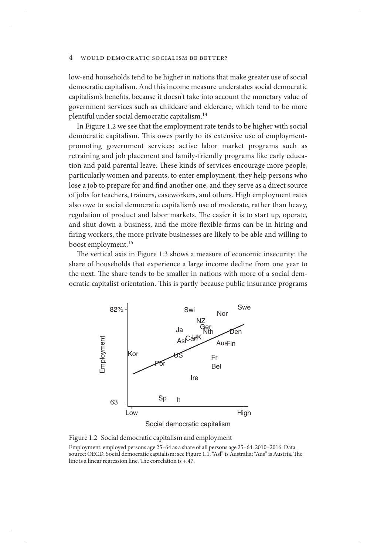low-end households tend to be higher in nations that make greater use of social democratic capitalism. And this income measure understates social democratic capitalism's benefits, because it doesn't take into account the monetary value of government services such as childcare and eldercare, which tend to be more plentiful under social democratic capitalism.14

In Figure 1.2 we see that the employment rate tends to be higher with social democratic capitalism. This owes partly to its extensive use of employmentpromoting government services: active labor market programs such as retraining and job placement and family-friendly programs like early education and paid parental leave. These kinds of services encourage more people, particularly women and parents, to enter employment, they help persons who lose a job to prepare for and find another one, and they serve as a direct source of jobs for teachers, trainers, caseworkers, and others. High employment rates also owe to social democratic capitalism's use of moderate, rather than heavy, regulation of product and labor markets. The easier it is to start up, operate, and shut down a business, and the more flexible firms can be in hiring and firing workers, the more private businesses are likely to be able and willing to boost employment.<sup>15</sup>

The vertical axis in Figure 1.3 shows a measure of economic insecurity: the share of households that experience a large income decline from one year to the next. The share tends to be smaller in nations with more of a social democratic capitalist orientation. This is partly because public insurance programs



Figure 1.2 Social democratic capitalism and employment

Employment: employed persons age 25–64 as a share of all persons age 25–64. 2010–2016. Data source: OECD. Social democratic capitalism: see Figure 1.1. "Asl" is Australia; "Aus" is Austria. The line is a linear regression line. The correlation is +.47.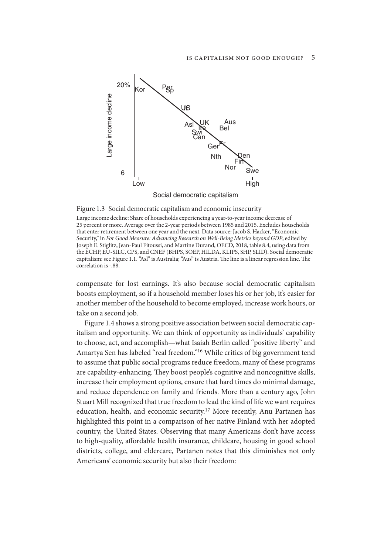

Figure 1.3 Social democratic capitalism and economic insecurity

Large income decline: Share of households experiencing a year-to-year income decrease of 25 percent or more. Average over the 2-year periods between 1985 and 2015. Excludes households that enter retirement between one year and the next. Data source: Jacob S. Hacker, "Economic Security," in *For Good Measure: Advancing Research on Well-Being Metrics beyond GDP*, edited by Joseph E. Stiglitz, Jean-Paul Fitoussi, and Martine Durand, OECD, 2018, table 8.4, using data from the ECHP, EU-SILC, CPS, and CNEF (BHPS, SOEP, HILDA, KLIPS, SHP, SLID). Social democratic capitalism: see Figure 1.1. "Asl" is Australia; "Aus" is Austria. The line is a linear regression line. The correlation is -.88.

compensate for lost earnings. It's also because social democratic capitalism boosts employment, so if a household member loses his or her job, it's easier for another member of the household to become employed, increase work hours, or take on a second job.

Figure 1.4 shows a strong positive association between social democratic capitalism and opportunity. We can think of opportunity as individuals' capability to choose, act, and accomplish—what Isaiah Berlin called "positive liberty" and Amartya Sen has labeled "real freedom."<sup>16</sup> While critics of big government tend to assume that public social programs reduce freedom, many of these programs are capability-enhancing. They boost people's cognitive and noncognitive skills, increase their employment options, ensure that hard times do minimal damage, and reduce dependence on family and friends. More than a century ago, John Stuart Mill recognized that true freedom to lead the kind of life we want requires education, health, and economic security.<sup>17</sup> More recently, Anu Partanen has highlighted this point in a comparison of her native Finland with her adopted country, the United States. Observing that many Americans don't have access to high-quality, affordable health insurance, childcare, housing in good school districts, college, and eldercare, Partanen notes that this diminishes not only Americans' economic security but also their freedom: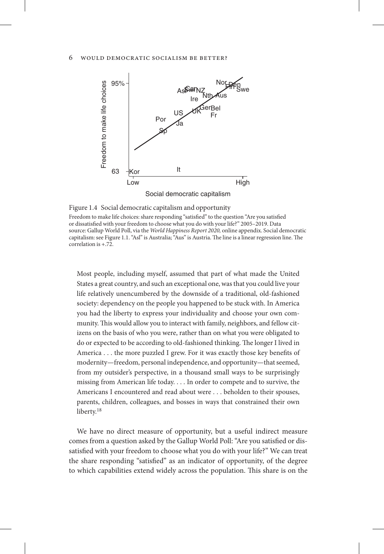

Figure 1.4 Social democratic capitalism and opportunity

Freedom to make life choices: share responding "satisfied" to the question "Are you satisfied or dissatisfied with your freedom to choose what you do with your life?" 2005–2019. Data source: Gallup World Poll, via the *World Happiness Report 2020,* online appendix. Social democratic capitalism: see Figure 1.1. "Asl" is Australia; "Aus" is Austria. The line is a linear regression line. The correlation is +.72.

Most people, including myself, assumed that part of what made the United States a great country, and such an exceptional one, was that you could live your life relatively unencumbered by the downside of a traditional, old-fashioned society: dependency on the people you happened to be stuck with. In America you had the liberty to express your individuality and choose your own community. This would allow you to interact with family, neighbors, and fellow citizens on the basis of who you were, rather than on what you were obligated to do or expected to be according to old-fashioned thinking. The longer I lived in America . . . the more puzzled I grew. For it was exactly those key benefits of modernity—freedom, personal independence, and opportunity—that seemed, from my outsider's perspective, in a thousand small ways to be surprisingly missing from American life today. . . . In order to compete and to survive, the Americans I encountered and read about were . . . beholden to their spouses, parents, children, colleagues, and bosses in ways that constrained their own liberty.<sup>18</sup>

We have no direct measure of opportunity, but a useful indirect measure comes from a question asked by the Gallup World Poll: "Are you satisfied or dissatisfied with your freedom to choose what you do with your life?" We can treat the share responding "satisfied" as an indicator of opportunity, of the degree to which capabilities extend widely across the population. This share is on the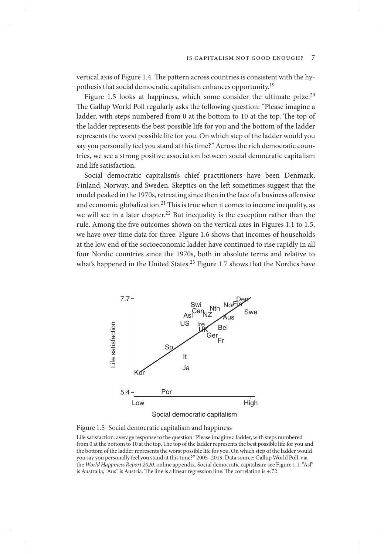vertical axis of Figure 1.4. The pattern across countries is consistent with the hypothesis that social democratic capitalism enhances opportunity.19

Figure 1.5 looks at happiness, which some consider the ultimate prize.<sup>20</sup> The Gallup World Poll regularly asks the following question: "Please imagine a ladder, with steps numbered from 0 at the bottom to 10 at the top. The top of the ladder represents the best possible life for you and the bottom of the ladder represents the worst possible life for you. On which step of the ladder would you say you personally feel you stand at this time?" Across the rich democratic countries, we see a strong positive association between social democratic capitalism and life satisfaction.

Social democratic capitalism's chief practitioners have been Denmark, Finland, Norway, and Sweden. Skeptics on the left sometimes suggest that the model peaked in the 1970s, retreating since then in the face of a business offensive and economic globalization.<sup>21</sup> This is true when it comes to income inequality, as we will see in a later chapter.<sup>22</sup> But inequality is the exception rather than the rule. Among the five outcomes shown on the vertical axes in Figures 1.1 to 1.5, we have over-time data for three. Figure 1.6 shows that incomes of households at the low end of the socioeconomic ladder have continued to rise rapidly in all four Nordic countries since the 1970s, both in absolute terms and relative to what's happened in the United States.<sup>23</sup> Figure 1.7 shows that the Nordics have



Figure 1.5 Social democratic capitalism and happiness

Life satisfaction: average response to the question "Please imagine a ladder, with steps numbered from 0 at the bottom to 10 at the top. The top of the ladder represents the best possible life for you and the bottom of the ladder represents the worst possible life for you. On which step of the ladder would you say you personally feel you stand at this time?" 2005–2019. Data source: Gallup World Poll, via the *World Happiness Report 2020*, online appendix. Social democratic capitalism: see Figure 1.1. "Asl" is Australia; "Aus" is Austria. The line is a linear regression line. The correlation is +.72.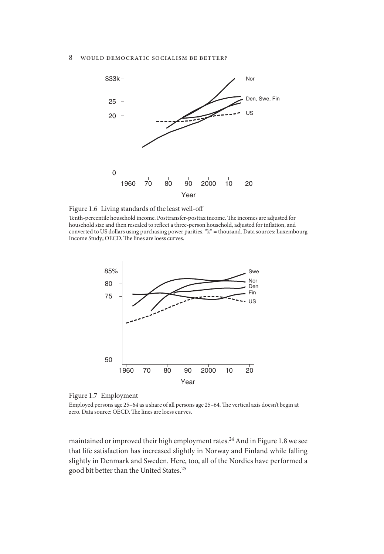

Figure 1.6 Living standards of the least well-off

Tenth-percentile household income. Posttransfer-posttax income. The incomes are adjusted for household size and then rescaled to reflect a three-person household, adjusted for inflation, and converted to US dollars using purchasing power parities. "k" = thousand. Data sources: Luxembourg Income Study; OECD. The lines are loess curves.



Figure 1.7 Employment

Employed persons age 25–64 as a share of all persons age 25–64. The vertical axis doesn't begin at zero. Data source: OECD. The lines are loess curves.

maintained or improved their high employment rates.<sup>24</sup> And in Figure 1.8 we see that life satisfaction has increased slightly in Norway and Finland while falling slightly in Denmark and Sweden. Here, too, all of the Nordics have performed a good bit better than the United States.25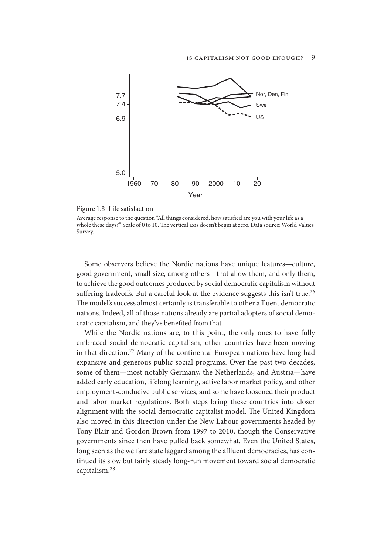

Figure 1.8 Life satisfaction

Average response to the question "All things considered, how satisfied are you with your life as a whole these days?" Scale of 0 to 10. The vertical axis doesn't begin at zero. Data source: World Values Survey.

Some observers believe the Nordic nations have unique features—culture, good government, small size, among others—that allow them, and only them, to achieve the good outcomes produced by social democratic capitalism without suffering tradeoffs. But a careful look at the evidence suggests this isn't true.<sup>26</sup> The model's success almost certainly is transferable to other affluent democratic nations. Indeed, all of those nations already are partial adopters of social democratic capitalism, and they've benefited from that.

While the Nordic nations are, to this point, the only ones to have fully embraced social democratic capitalism, other countries have been moving in that direction.<sup>27</sup> Many of the continental European nations have long had expansive and generous public social programs. Over the past two decades, some of them—most notably Germany, the Netherlands, and Austria—have added early education, lifelong learning, active labor market policy, and other employment-conducive public services, and some have loosened their product and labor market regulations. Both steps bring these countries into closer alignment with the social democratic capitalist model. The United Kingdom also moved in this direction under the New Labour governments headed by Tony Blair and Gordon Brown from 1997 to 2010, though the Conservative governments since then have pulled back somewhat. Even the United States, long seen as the welfare state laggard among the affluent democracies, has continued its slow but fairly steady long-run movement toward social democratic capitalism.<sup>28</sup>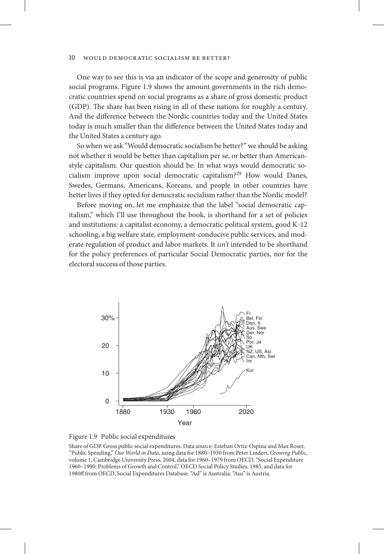One way to see this is via an indicator of the scope and generosity of public social programs. Figure 1.9 shows the amount governments in the rich democratic countries spend on social programs as a share of gross domestic product (GDP). The share has been rising in all of these nations for roughly a century. And the difference between the Nordic countries today and the United States today is much smaller than the difference between the United States today and the United States a century ago.

So when we ask "Would democratic socialism be better?" we should be asking not whether it would be better than capitalism per se, or better than Americanstyle capitalism. Our question should be: In what ways would democratic socialism improve upon social democratic capitalism?29 How would Danes, Swedes, Germans, Americans, Koreans, and people in other countries have better lives if they opted for democratic socialism rather than the Nordic model?

Before moving on, let me emphasize that the label "social democratic capitalism," which I'll use throughout the book, is shorthand for a set of policies and institutions: a capitalist economy, a democratic political system, good K-12 schooling, a big welfare state, employment-conducive public services, and moderate regulation of product and labor markets. It *isn't* intended to be shorthand for the policy preferences of particular Social Democratic parties, nor for the electoral success of those parties.





Share of GDP. Gross public social expenditures. Data source: Esteban Ortiz-Ospina and Max Roser, "Public Spending," *Our World in Data*, using data for 1880–1930 from Peter Lindert, *Growing Public*, volume 1, Cambridge University Press, 2004, data for 1960–1979 from OECD, "Social Expenditure 1960–1990: Problems of Growth and Control," OECD Social Policy Studies, 1985, and data for 1980ff from OECD, Social Expenditures Database. "Asl" is Australia; "Aus" is Austria.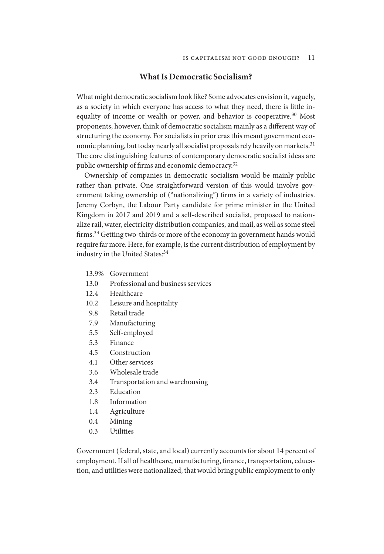#### **What Is Democratic Socialism?**

What might democratic socialism look like? Some advocates envision it, vaguely, as a society in which everyone has access to what they need, there is little inequality of income or wealth or power, and behavior is cooperative.<sup>30</sup> Most proponents, however, think of democratic socialism mainly as a different way of structuring the economy. For socialists in prior eras this meant government economic planning, but today nearly all socialist proposals rely heavily on markets.<sup>31</sup> The core distinguishing features of contemporary democratic socialist ideas are public ownership of firms and economic democracy.<sup>32</sup>

Ownership of companies in democratic socialism would be mainly public rather than private. One straightforward version of this would involve government taking ownership of ("nationalizing") firms in a variety of industries. Jeremy Corbyn, the Labour Party candidate for prime minister in the United Kingdom in 2017 and 2019 and a self-described socialist, proposed to nationalize rail, water, electricity distribution companies, and mail, as well as some steel firms.<sup>33</sup> Getting two-thirds or more of the economy in government hands would require far more. Here, for example, is the current distribution of employment by industry in the United States: 34

- 13.9% Government
- 13.0 Professional and business services
- 12.4 Healthcare
- 10.2 Leisure and hospitality
- 9.8 Retail trade
- 7.9 Manufacturing
- 5.5 Self-employed
- 5.3 Finance
- 4.5 Construction
- 4.1 Other services
- 3.6 Wholesale trade
- 3.4 Transportation and warehousing
- 2.3 Education
- 1.8 Information
- 1.4 Agriculture
- 0.4 Mining
- 0.3 Utilities

Government (federal, state, and local) currently accounts for about 14 percent of employment. If all of healthcare, manufacturing, finance, transportation, education, and utilities were nationalized, that would bring public employment to only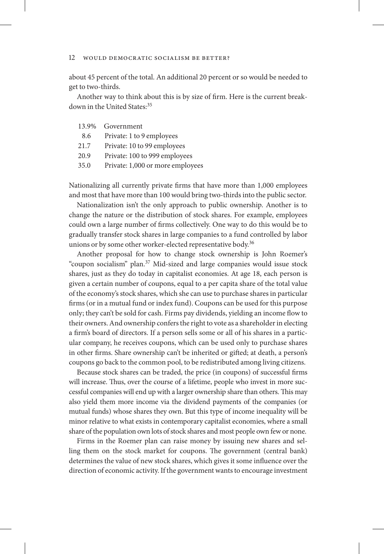about 45 percent of the total. An additional 20 percent or so would be needed to get to two-thirds.

Another way to think about this is by size of firm. Here is the current breakdown in the United States:<sup>35</sup>

| 13.9% | Government                       |
|-------|----------------------------------|
| 8.6   | Private: 1 to 9 employees        |
| 21.7  | Private: 10 to 99 employees      |
| 20.9  | Private: 100 to 999 employees    |
| 35.0  | Private: 1,000 or more employees |

Nationalizing all currently private firms that have more than 1,000 employees and most that have more than 100 would bring two-thirds into the public sector.

Nationalization isn't the only approach to public ownership. Another is to change the nature or the distribution of stock shares. For example, employees could own a large number of firms collectively. One way to do this would be to gradually transfer stock shares in large companies to a fund controlled by labor unions or by some other worker-elected representative body.<sup>36</sup>

Another proposal for how to change stock ownership is John Roemer's "coupon socialism" plan.37 Mid-sized and large companies would issue stock shares, just as they do today in capitalist economies. At age 18, each person is given a certain number of coupons, equal to a per capita share of the total value of the economy's stock shares, which she can use to purchase shares in particular firms (or in a mutual fund or index fund). Coupons can be used for this purpose only; they can't be sold for cash. Firms pay dividends, yielding an income flow to their owners. And ownership confers the right to vote as a shareholder in electing a firm's board of directors. If a person sells some or all of his shares in a particular company, he receives coupons, which can be used only to purchase shares in other firms. Share ownership can't be inherited or gifted; at death, a person's coupons go back to the common pool, to be redistributed among living citizens.

Because stock shares can be traded, the price (in coupons) of successful firms will increase. Thus, over the course of a lifetime, people who invest in more successful companies will end up with a larger ownership share than others. This may also yield them more income via the dividend payments of the companies (or mutual funds) whose shares they own. But this type of income inequality will be minor relative to what exists in contemporary capitalist economies, where a small share of the population own lots of stock shares and most people own few or none.

Firms in the Roemer plan can raise money by issuing new shares and selling them on the stock market for coupons. The government (central bank) determines the value of new stock shares, which gives it some influence over the direction of economic activity. If the government wants to encourage investment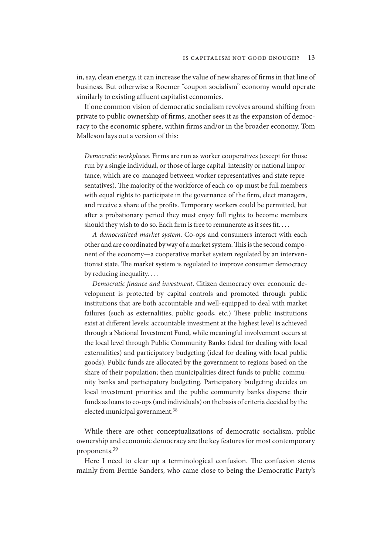in, say, clean energy, it can increase the value of new shares of firms in that line of business. But otherwise a Roemer "coupon socialism" economy would operate similarly to existing affluent capitalist economies.

If one common vision of democratic socialism revolves around shifting from private to public ownership of firms, another sees it as the expansion of democracy to the economic sphere, within firms and/or in the broader economy. Tom Malleson lays out a version of this:

*Democratic workplaces*. Firms are run as worker cooperatives (except for those run by a single individual, or those of large capital-intensity or national importance, which are co-managed between worker representatives and state representatives). The majority of the workforce of each co-op must be full members with equal rights to participate in the governance of the firm, elect managers, and receive a share of the profits. Temporary workers could be permitted, but after a probationary period they must enjoy full rights to become members should they wish to do so. Each firm is free to remunerate as it sees fit. . . .

*A democratized market system*. Co-ops and consumers interact with each other and are coordinated by way of a market system. This is the second component of the economy—a cooperative market system regulated by an interventionist state. The market system is regulated to improve consumer democracy by reducing inequality. . . .

*Democratic finance and investment*. Citizen democracy over economic development is protected by capital controls and promoted through public institutions that are both accountable and well-equipped to deal with market failures (such as externalities, public goods, etc.) These public institutions exist at different levels: accountable investment at the highest level is achieved through a National Investment Fund, while meaningful involvement occurs at the local level through Public Community Banks (ideal for dealing with local externalities) and participatory budgeting (ideal for dealing with local public goods). Public funds are allocated by the government to regions based on the share of their population; then municipalities direct funds to public community banks and participatory budgeting. Participatory budgeting decides on local investment priorities and the public community banks disperse their funds as loans to co-ops (and individuals) on the basis of criteria decided by the elected municipal government.<sup>38</sup>

While there are other conceptualizations of democratic socialism, public ownership and economic democracy are the key features for most contemporary proponents.39

Here I need to clear up a terminological confusion. The confusion stems mainly from Bernie Sanders, who came close to being the Democratic Party's